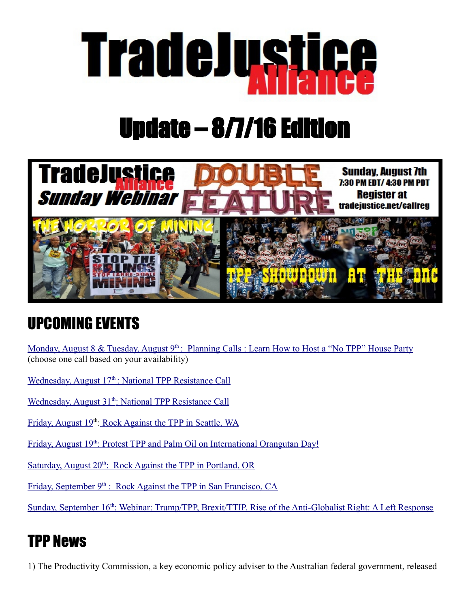

## Update – 8/7/16 Edition



## UPCOMING EVENTS

Monday, August 8 & Tuesday, August 9<sup>th</sup> : [Planning Calls : Learn How to Host a "No TPP" House Party](https://docs.google.com/forms/d/e/1FAIpQLScrHlYIZIRdYI8jaxr-GpVzO_8Lvdr916or59IPw7qpK5IdVg/viewform?c=0&w=1) (choose one call based on your availability)

Wednesday, August 17<sup>th</sup>: National TPP Resistance Call

Wednesday, August 31<sup>th</sup>: National TPP Resistance Call

Friday, August 19<sup>th</sup>[: Rock Against the TPP in Seattle, WA](https://www.rockagainstthetpp.org/seattle-wa/)

Friday, August 19<sup>th</sup>: Protest TPP and Palm Oil on International Orangutan Day!

Saturday, August 20<sup>th</sup>: Rock Against the TPP in Portland, OR

Friday, September 9<sup>th</sup> [: Rock Against the TPP in San Francisco, CA](https://www.rockagainstthetpp.org/san-francisco-ca/)

Sunday, September 16<sup>th</sup>: Webinar: Trump/TPP, Brexit/TTIP, Rise of the Anti-Globalist Right: A Left Response

## TPP News

1) The Productivity Commission, a key economic policy adviser to the Australian federal government, released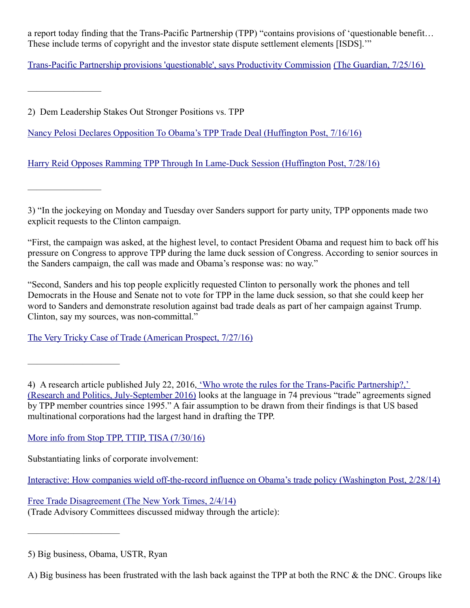a report today finding that the Trans-Pacific Partnership (TPP) "contains provisions of 'questionable benefit… These include terms of copyright and the investor state dispute settlement elements [ISDS].'"

[Trans-Pacific Partnership provisions 'questionable', says Productivity Commission](https://www.theguardian.com/business/2016/jul/25/trans-pacific-partnership-provisions-questionable-says-productivity-commission) [\(The Guardian, 7/25/16\)](https://www.theguardian.com/business/2016/jul/25/trans-pacific-partnership-provisions-questionable-says-productivity-commission) 

2) Dem Leadership Stakes Out Stronger Positions vs. TPP

————————

————————

——————————

[Nancy Pelosi Declares Opposition To Obama's TPP Trade Deal \(Huffington Post, 7/16/16\)](http://www.huffingtonpost.com/entry/nancy-pelosi-tpp-trade-deal_us_5797ab5be4b01180b5307124)

[Harry Reid Opposes Ramming TPP Through In Lame-Duck Session \(Huffington Post, 7/28/16\)](http://www.huffingtonpost.com/entry/harry-reid-tpp-lame-duck_us_579a4ddae4b0d3568f86895f)

3) "In the jockeying on Monday and Tuesday over Sanders support for party unity, TPP opponents made two explicit requests to the Clinton campaign.

"First, the campaign was asked, at the highest level, to contact President Obama and request him to back off his pressure on Congress to approve TPP during the lame duck session of Congress. According to senior sources in the Sanders campaign, the call was made and Obama's response was: no way."

"Second, Sanders and his top people explicitly requested Clinton to personally work the phones and tell Democrats in the House and Senate not to vote for TPP in the lame duck session, so that she could keep her word to Sanders and demonstrate resolution against bad trade deals as part of her campaign against Trump. Clinton, say my sources, was non-committal."

[The Very Tricky Case of Trade \(American Prospect, 7/27/16\)](http://bit.ly/2a0IZUs%C2%A0)

4) A research article published July 22, 2016[, 'Who wrote the rules for the Trans-Pacific Partnership?,'](http://m.rap.sagepub.com/content/3/3/2053168016658919.full.pdf)  [\(Research and Politics, July-September 2016\)](http://m.rap.sagepub.com/content/3/3/2053168016658919.full.pdf) looks at the language in 74 previous "trade" agreements signed by TPP member countries since 1995." A fair assumption to be drawn from their findings is that US based multinational corporations had the largest hand in drafting the TPP.

[More info from Stop TPP, TTIP, TISA \(7/30/16\)](https://www.facebook.com/StopTPP.TTIP.TiSA/posts/1731560537111673:0)

Substantiating links of corporate involvement:

[Interactive: How companies wield off-the-record influence on Obama's trade policy \(Washington Post, 2/28/14\)](https://www.washingtonpost.com/news/wonk/wp/2014/02/28/how-companies-wield-off-the-record-influence-on-obamas-trade-policy/)

[Free Trade Disagreement \(The New York Times, 2/4/14\)](http://www.nytimes.com/2014/02/05/opinion/edsall-free-trade-disagreement.html?smid=fb-share&_r=2) (Trade Advisory Committees discussed midway through the article):

——————————

<sup>5)</sup> Big business, Obama, USTR, Ryan

A) Big business has been frustrated with the lash back against the TPP at both the RNC & the DNC. Groups like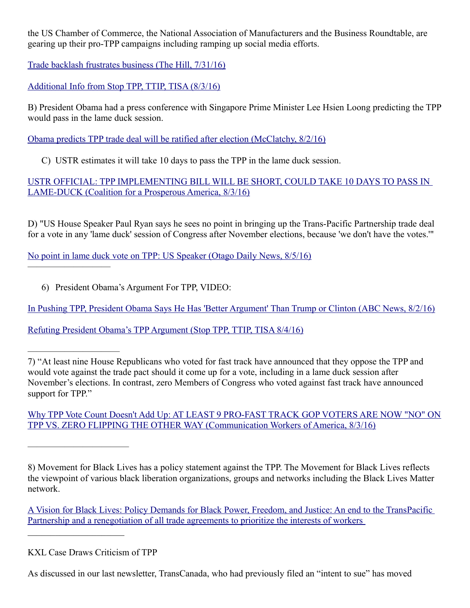the US Chamber of Commerce, the National Association of Manufacturers and the Business Roundtable, are gearing up their pro-TPP campaigns including ramping up social media efforts.

[Trade backlash frustrates business \(The Hill, 7/31/16\)](http://thehill.com/policy/finance/289861-trade-backlash-frustrates-business)

[Additional Info from Stop TPP, TTIP, TISA \(8/3/16\)](https://www.facebook.com/StopTPP.TTIP.TiSA/photos/a.1603677846566610.1073741828.1603554779912250/1733148310286229/?type=3&theater)

B) President Obama had a press conference with Singapore Prime Minister Lee Hsien Loong predicting the TPP would pass in the lame duck session.

[Obama predicts TPP trade deal will be ratified after election \(McClatchy, 8/2/16\)](http://www.mcclatchydc.com/news/politics-government/white-house/article93319012.html)

C) USTR estimates it will take 10 days to pass the TPP in the lame duck session.

[USTR OFFICIAL: TPP IMPLEMENTING BILL WILL BE SHORT, COULD TAKE 10 DAYS TO PASS IN](http://www.prosperousamerica.org/ustr_official_tpp_implementing_bill_will_be_short_could_take_10_days_to_pass_in_lame_duck)  [LAME-DUCK \(Coalition for a Prosperous America, 8/3/16\)](http://www.prosperousamerica.org/ustr_official_tpp_implementing_bill_will_be_short_could_take_10_days_to_pass_in_lame_duck)

D) "US House Speaker Paul Ryan says he sees no point in bringing up the Trans-Pacific Partnership trade deal for a vote in any 'lame duck' session of Congress after November elections, because 'we don't have the votes.'"

[No point in lame duck vote on TPP: US Speaker \(Otago Daily News, 8/5/16\)](https://www.odt.co.nz/news/politics/no-point-lame-duck-vote-tpp-us-speaker)

6) President Obama's Argument For TPP, VIDEO:

—————————

[In Pushing TPP, President Obama Says He Has 'Better Argument' Than Trump or Clinton \(ABC News, 8/2/16\)](http://abcnews.go.com/Business/pushing-tpp-president-obama-argument-trump-clinton/story?id=41074632)

[Refuting President Obama's TPP Argument \(Stop TPP, TTIP, TISA 8/4/16\)](https://www.facebook.com/notes/stop-tpp-ttip-tisa/refuting-president-obamas-tpp-argument/1733543933580000)

—————————— 7) "At least nine House Republicans who voted for fast track have announced that they oppose the TPP and would vote against the trade pact should it come up for a vote, including in a lame duck session after November's elections. In contrast, zero Members of Congress who voted against fast track have announced support for TPP."

[Why TPP Vote Count Doesn't Add Up: AT LEAST 9 PRO-FAST TRACK GOP VOTERS ARE NOW "NO" ON](http://www.cwa-union.org/news/releases/why-tpp-vote-count-doesnt-add) [TPP VS. ZERO FLIPPING THE OTHER WAY \(Communication Workers of America, 8/3/16\)](http://www.cwa-union.org/news/releases/why-tpp-vote-count-doesnt-add)

8) Movement for Black Lives has a policy statement against the TPP. The Movement for Black Lives reflects the viewpoint of various black liberation organizations, groups and networks including the Black Lives Matter network.

 [A Vision for Black Lives: Policy Demands for Black Power, Freedom, and Justice: An end to the TransPacific](https://policy.m4bl.org/wp-content/uploads/2016/07/Transform-Free-Trade-Policy-Brief.pdf)  [Partnership and a renegotiation of all trade agreements to prioritize the interests of workers](https://policy.m4bl.org/wp-content/uploads/2016/07/Transform-Free-Trade-Policy-Brief.pdf) 

KXL Case Draws Criticism of TPP

———————————

As discussed in our last newsletter, TransCanada, who had previously filed an "intent to sue" has moved